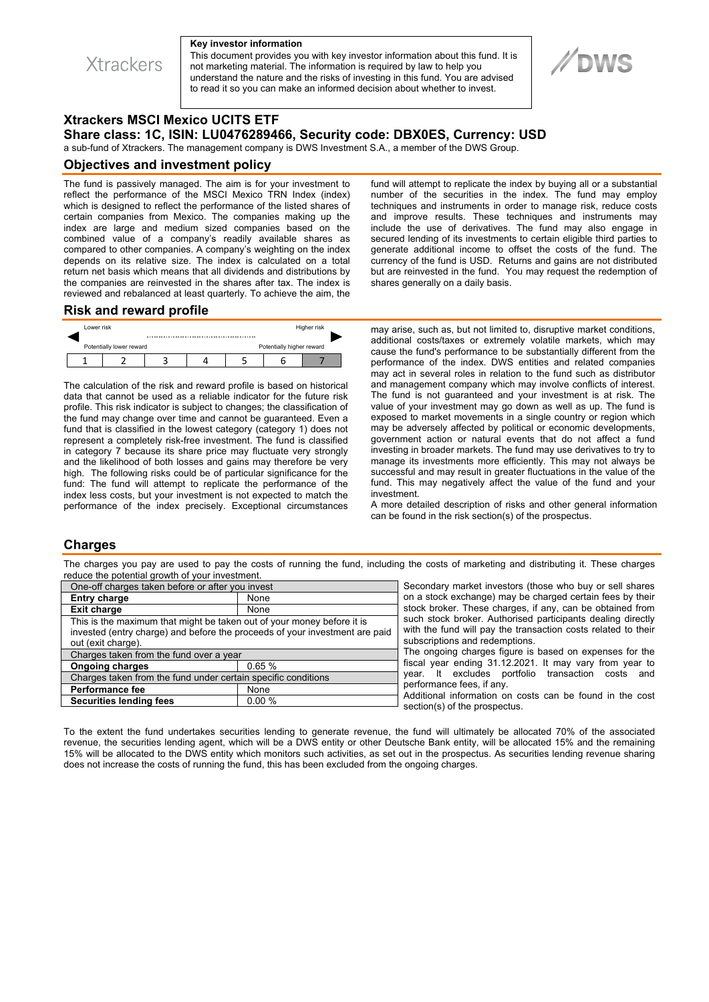**Xtrackers** 

#### **Key investor information**

This document provides you with key investor information about this fund. It is not marketing material. The information is required by law to help you understand the nature and the risks of investing in this fund. You are advised to read it so you can make an informed decision about whether to invest.

# **Xtrackers MSCI Mexico UCITS ETF Share class: 1C, ISIN: LU0476289466, Security code: DBX0ES, Currency: USD**

a sub-fund of Xtrackers. The management company is DWS Investment S.A., a member of the DWS Group.

### **Objectives and investment policy**

The fund is passively managed. The aim is for your investment to reflect the performance of the MSCI Mexico TRN Index (index) which is designed to reflect the performance of the listed shares of certain companies from Mexico. The companies making up the index are large and medium sized companies based on the combined value of a company's readily available shares as compared to other companies. A company's weighting on the index depends on its relative size. The index is calculated on a total return net basis which means that all dividends and distributions by the companies are reinvested in the shares after tax. The index is reviewed and rebalanced at least quarterly. To achieve the aim, the fund will attempt to replicate the index by buying all or a substantial number of the securities in the index. The fund may employ techniques and instruments in order to manage risk, reduce costs and improve results. These techniques and instruments may include the use of derivatives. The fund may also engage in secured lending of its investments to certain eligible third parties to generate additional income to offset the costs of the fund. The currency of the fund is USD. Returns and gains are not distributed but are reinvested in the fund. You may request the redemption of shares generally on a daily basis.

### **Risk and reward profile**



The calculation of the risk and reward profile is based on historical data that cannot be used as a reliable indicator for the future risk profile. This risk indicator is subject to changes; the classification of the fund may change over time and cannot be guaranteed. Even a fund that is classified in the lowest category (category 1) does not represent a completely risk-free investment. The fund is classified in category 7 because its share price may fluctuate very strongly and the likelihood of both losses and gains may therefore be very high. The following risks could be of particular significance for the fund: The fund will attempt to replicate the performance of the index less costs, but your investment is not expected to match the performance of the index precisely. Exceptional circumstances

may arise, such as, but not limited to, disruptive market conditions, additional costs/taxes or extremely volatile markets, which may cause the fund's performance to be substantially different from the performance of the index. DWS entities and related companies may act in several roles in relation to the fund such as distributor and management company which may involve conflicts of interest. The fund is not guaranteed and your investment is at risk. The value of your investment may go down as well as up. The fund is exposed to market movements in a single country or region which may be adversely affected by political or economic developments, government action or natural events that do not affect a fund investing in broader markets. The fund may use derivatives to try to manage its investments more efficiently. This may not always be successful and may result in greater fluctuations in the value of the fund. This may negatively affect the value of the fund and your investment.

A more detailed description of risks and other general information can be found in the risk section(s) of the prospectus.

## **Charges**

The charges you pay are used to pay the costs of running the fund, including the costs of marketing and distributing it. These charges reduce the potential growth of your investment.

| One-off charges taken before or after you invest                            |       |
|-----------------------------------------------------------------------------|-------|
| <b>Entry charge</b>                                                         | None  |
| <b>Exit charge</b>                                                          | None  |
| This is the maximum that might be taken out of your money before it is      |       |
| invested (entry charge) and before the proceeds of your investment are paid |       |
| out (exit charge).                                                          |       |
| Charges taken from the fund over a year                                     |       |
| <b>Ongoing charges</b>                                                      | 0.65% |
| Charges taken from the fund under certain specific conditions               |       |
| <b>Performance fee</b>                                                      | None  |
| <b>Securities lending fees</b>                                              | 0.00% |
|                                                                             |       |

Secondary market investors (those who buy or sell shares on a stock exchange) may be charged certain fees by their stock broker. These charges, if any, can be obtained from such stock broker. Authorised participants dealing directly with the fund will pay the transaction costs related to their subscriptions and redemptions.

The ongoing charges figure is based on expenses for the fiscal year ending 31.12.2021. It may vary from year to year. It excludes portfolio transaction costs and performance fees, if any.

Additional information on costs can be found in the cost section(s) of the prospectus.

To the extent the fund undertakes securities lending to generate revenue, the fund will ultimately be allocated 70% of the associated revenue, the securities lending agent, which will be a DWS entity or other Deutsche Bank entity, will be allocated 15% and the remaining 15% will be allocated to the DWS entity which monitors such activities, as set out in the prospectus. As securities lending revenue sharing does not increase the costs of running the fund, this has been excluded from the ongoing charges.